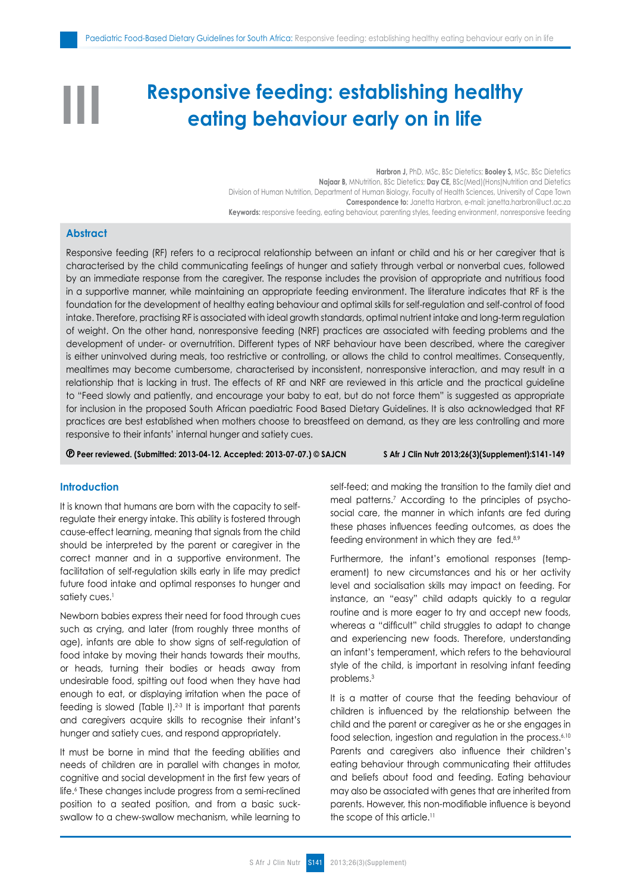# **Responsive feeding: establishing healthy eating behaviour early on in life**

**Harbron J,** PhD, MSc, BSc Dietetics; **Booley S,** MSc, BSc Dietetics **Najaar B,** MNutrition, BSc Dietetics; **Day CE**, BSc (Med) (Hons) Nutrition and Dietetics Division of Human Nutrition, Department of Human Biology, Faculty of Health Sciences, University of Cape Town **Correspondence to:** Janetta Harbron, e-mail: janetta.harbron@uct.ac.za **Keywords:** responsive feeding, eating behaviour, parenting styles, feeding environment, nonresponsive feeding

# **Abstract**

**III**

Responsive feeding (RF) refers to a reciprocal relationship between an infant or child and his or her caregiver that is characterised by the child communicating feelings of hunger and satiety through verbal or nonverbal cues, followed by an immediate response from the caregiver. The response includes the provision of appropriate and nutritious food in a supportive manner, while maintaining an appropriate feeding environment. The literature indicates that RF is the foundation for the development of healthy eating behaviour and optimal skills for self-regulation and self-control of food intake. Therefore, practising RF is associated with ideal growth standards, optimal nutrient intake and long-term regulation of weight. On the other hand, nonresponsive feeding (NRF) practices are associated with feeding problems and the development of under- or overnutrition. Different types of NRF behaviour have been described, where the caregiver is either uninvolved during meals, too restrictive or controlling, or allows the child to control mealtimes. Consequently, mealtimes may become cumbersome, characterised by inconsistent, nonresponsive interaction, and may result in a relationship that is lacking in trust. The effects of RF and NRF are reviewed in this article and the practical guideline to "Feed slowly and patiently, and encourage your baby to eat, but do not force them" is suggested as appropriate for inclusion in the proposed South African paediatric Food Based Dietary Guidelines. It is also acknowledged that RF practices are best established when mothers choose to breastfeed on demand, as they are less controlling and more responsive to their infants' internal hunger and satiety cues.

 **Peer reviewed. (Submitted: 2013-04-12. Accepted: 2013-07-07.) © SAJCN S Afr J Clin Nutr 2013;26(3)(Supplement):S141-149**

### **Introduction**

It is known that humans are born with the capacity to selfregulate their energy intake. This ability is fostered through cause-effect learning, meaning that signals from the child should be interpreted by the parent or caregiver in the correct manner and in a supportive environment. The facilitation of self-regulation skills early in life may predict future food intake and optimal responses to hunger and satiety cues.<sup>1</sup>

Newborn babies express their need for food through cues such as crying, and later (from roughly three months of age), infants are able to show signs of self-regulation of food intake by moving their hands towards their mouths, or heads, turning their bodies or heads away from undesirable food, spitting out food when they have had enough to eat, or displaying irritation when the pace of feeding is slowed (Table I).2-3 It is important that parents and caregivers acquire skills to recognise their infant's hunger and satiety cues, and respond appropriately.

It must be borne in mind that the feeding abilities and needs of children are in parallel with changes in motor, cognitive and social development in the first few years of life.6 These changes include progress from a semi-reclined position to a seated position, and from a basic suckswallow to a chew-swallow mechanism, while learning to self-feed; and making the transition to the family diet and meal patterns.7 According to the principles of psychosocial care, the manner in which infants are fed during these phases influences feeding outcomes, as does the feeding environment in which they are fed.<sup>8,9</sup>

Furthermore, the infant's emotional responses (temperament) to new circumstances and his or her activity level and socialisation skills may impact on feeding. For instance, an "easy" child adapts quickly to a regular routine and is more eager to try and accept new foods, whereas a "difficult" child struggles to adapt to change and experiencing new foods. Therefore, understanding an infant's temperament, which refers to the behavioural style of the child, is important in resolving infant feeding problems.3

It is a matter of course that the feeding behaviour of children is influenced by the relationship between the child and the parent or caregiver as he or she engages in food selection, ingestion and regulation in the process.<sup>6,10</sup> Parents and caregivers also influence their children's eating behaviour through communicating their attitudes and beliefs about food and feeding. Eating behaviour may also be associated with genes that are inherited from parents. However, this non-modifiable influence is beyond the scope of this article.<sup>11</sup>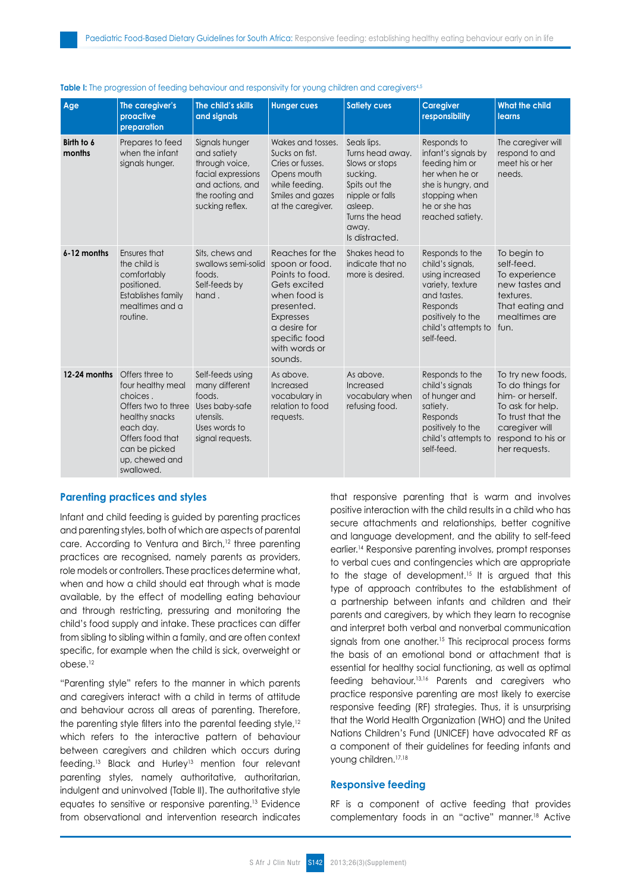| Age                  | The caregiver's<br>proactive<br>preparation                                                                                                                                 | The child's skills<br>and signals                                                                                               | <b>Hunger cues</b>                                                                                                                                                                  | <b>Satiety cues</b>                                                                                                                                       | <b>Caregiver</b><br>responsibility                                                                                                                              | <b>What the child</b><br>learns                                                                                                                            |
|----------------------|-----------------------------------------------------------------------------------------------------------------------------------------------------------------------------|---------------------------------------------------------------------------------------------------------------------------------|-------------------------------------------------------------------------------------------------------------------------------------------------------------------------------------|-----------------------------------------------------------------------------------------------------------------------------------------------------------|-----------------------------------------------------------------------------------------------------------------------------------------------------------------|------------------------------------------------------------------------------------------------------------------------------------------------------------|
| Birth to 6<br>months | Prepares to feed<br>when the infant<br>signals hunger.                                                                                                                      | Signals hunger<br>and satiety<br>through voice,<br>facial expressions<br>and actions, and<br>the rooting and<br>sucking reflex. | Wakes and tosses.<br>Sucks on fist.<br>Cries or fusses.<br>Opens mouth<br>while feeding.<br>Smiles and gazes<br>at the caregiver.                                                   | Seals lips.<br>Turns head away.<br>Slows or stops<br>sucking.<br>Spits out the<br>nipple or falls<br>asleep.<br>Turns the head<br>away.<br>Is distracted. | Responds to<br>infant's signals by<br>feeding him or<br>her when he or<br>she is hungry, and<br>stopping when<br>he or she has<br>reached satiety.              | The caregiver will<br>respond to and<br>meet his or her<br>needs.                                                                                          |
| 6-12 months          | Ensures that<br>the child is<br>comfortably<br>positioned.<br><b>Establishes family</b><br>mealtimes and a<br>routine.                                                      | Sits, chews and<br>swallows semi-solid<br>foods.<br>Self-feeds by<br>hand.                                                      | Reaches for the<br>spoon or food.<br>Points to food.<br>Gets excited<br>when food is<br>presented.<br><b>Expresses</b><br>a desire for<br>specific food<br>with words or<br>sounds. | Shakes head to<br>indicate that no<br>more is desired.                                                                                                    | Responds to the<br>child's signals,<br>using increased<br>variety, texture<br>and tastes.<br>Responds<br>positively to the<br>child's attempts to<br>self-feed. | To begin to<br>self-feed.<br>To experience<br>new tastes and<br>textures.<br>That eating and<br>mealtimes are<br>fun.                                      |
| 12-24 months         | Offers three to<br>four healthy meal<br>choices.<br>Offers two to three<br>healthy snacks<br>each day.<br>Offers food that<br>can be picked<br>up, chewed and<br>swallowed. | Self-feeds using<br>many different<br>foods.<br>Uses baby-safe<br>utensils.<br>Uses words to<br>signal requests.                | As above.<br>Increased<br>vocabulary in<br>relation to food<br>requests.                                                                                                            | As above.<br>Increased<br>vocabulary when<br>refusing food.                                                                                               | Responds to the<br>child's signals<br>of hunger and<br>satiety.<br>Responds<br>positively to the<br>child's attempts to<br>self-feed.                           | To try new foods,<br>To do things for<br>him- or herself.<br>To ask for help.<br>To trust that the<br>caregiver will<br>respond to his or<br>her requests. |

#### **Table I:** The progression of feeding behaviour and responsivity for young children and caregivers<sup>4,5</sup>

# **Parenting practices and styles**

Infant and child feeding is guided by parenting practices and parenting styles, both of which are aspects of parental care. According to Ventura and Birch,<sup>12</sup> three parenting practices are recognised, namely parents as providers, role models or controllers. These practices determine what, when and how a child should eat through what is made available, by the effect of modelling eating behaviour and through restricting, pressuring and monitoring the child's food supply and intake. These practices can differ from sibling to sibling within a family, and are often context specific, for example when the child is sick, overweight or obese.12

"Parenting style" refers to the manner in which parents and caregivers interact with a child in terms of attitude and behaviour across all areas of parenting. Therefore, the parenting style filters into the parental feeding style,<sup>12</sup> which refers to the interactive pattern of behaviour between caregivers and children which occurs during feeding.<sup>13</sup> Black and Hurley<sup>13</sup> mention four relevant parenting styles, namely authoritative, authoritarian, indulgent and uninvolved (Table II). The authoritative style equates to sensitive or responsive parenting.13 Evidence from observational and intervention research indicates that responsive parenting that is warm and involves positive interaction with the child results in a child who has secure attachments and relationships, better cognitive and language development, and the ability to self-feed earlier.14 Responsive parenting involves, prompt responses to verbal cues and contingencies which are appropriate to the stage of development.<sup>15</sup> It is argued that this type of approach contributes to the establishment of a partnership between infants and children and their parents and caregivers, by which they learn to recognise and interpret both verbal and nonverbal communication signals from one another.<sup>15</sup> This reciprocal process forms the basis of an emotional bond or attachment that is essential for healthy social functioning, as well as optimal feeding behaviour.13,16 Parents and caregivers who practice responsive parenting are most likely to exercise responsive feeding (RF) strategies. Thus, it is unsurprising that the World Health Organization (WHO) and the United Nations Children's Fund (UNICEF) have advocated RF as a component of their guidelines for feeding infants and young children.17,18

# **Responsive feeding**

RF is a component of active feeding that provides complementary foods in an "active" manner.18 Active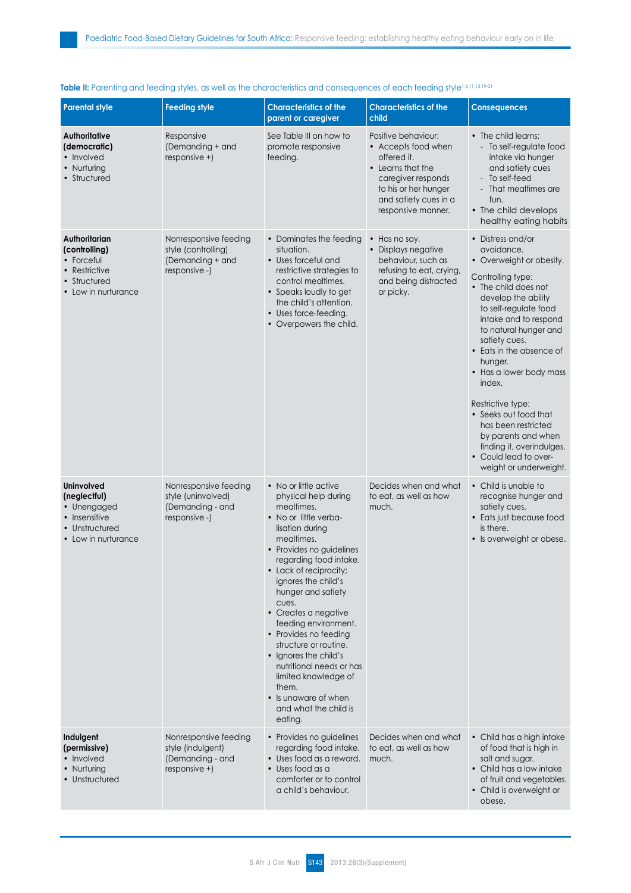| <b>Parental style</b>                                                                                      | <b>Feeding style</b>                                                              | <b>Characteristics of the</b><br>parent or caregiver                                                                                                                                                                                                                                                                                                                                                                                                                                                            | <b>Characteristics of the</b><br>child                                                                                                                                      | <b>Consequences</b>                                                                                                                                                                                                                                                                                                                                                                                                                                                                 |
|------------------------------------------------------------------------------------------------------------|-----------------------------------------------------------------------------------|-----------------------------------------------------------------------------------------------------------------------------------------------------------------------------------------------------------------------------------------------------------------------------------------------------------------------------------------------------------------------------------------------------------------------------------------------------------------------------------------------------------------|-----------------------------------------------------------------------------------------------------------------------------------------------------------------------------|-------------------------------------------------------------------------------------------------------------------------------------------------------------------------------------------------------------------------------------------------------------------------------------------------------------------------------------------------------------------------------------------------------------------------------------------------------------------------------------|
| Authoritative<br>(democratic)<br>• Involved<br>• Nurturing<br>• Structured                                 | Responsive<br>(Demanding + and<br>responsive +)                                   | See Table III on how to<br>promote responsive<br>feeding.                                                                                                                                                                                                                                                                                                                                                                                                                                                       | Positive behaviour:<br>• Accepts food when<br>offered it.<br>• Learns that the<br>caregiver responds<br>to his or her hunger<br>and satiety cues in a<br>responsive manner. | • The child learns:<br>- To self-regulate food<br>intake via hunger<br>and satiety cues<br>- To self-feed<br>- That mealtimes are<br>fun.<br>• The child develops<br>healthy eating habits                                                                                                                                                                                                                                                                                          |
| Authoritarian<br>(controlling)<br>• Forceful<br>• Restrictive<br>• Structured<br>• Low in nurturance       | Nonresponsive feeding<br>style (controlling)<br>(Demanding + and<br>responsive -) | • Dominates the feeding<br>situation.<br>• Uses forceful and<br>restrictive strategies to<br>control mealtimes.<br>• Speaks loudly to get<br>the child's attention.<br>• Uses force-feeding.<br>• Overpowers the child.                                                                                                                                                                                                                                                                                         | Has no say.<br>$\bullet$<br>· Displays negative<br>behaviour, such as<br>refusing to eat, crying,<br>and being distracted<br>or picky.                                      | • Distress and/or<br>avoidance.<br>• Overweight or obesity.<br>Controlling type:<br>• The child does not<br>develop the ability<br>to self-regulate food<br>intake and to respond<br>to natural hunger and<br>satiety cues.<br>• Eats in the absence of<br>hunger.<br>• Has a lower body mass<br>index.<br>Restrictive type:<br>• Seeks out food that<br>has been restricted<br>by parents and when<br>finding it, overindulges.<br>• Could lead to over-<br>weight or underweight. |
| <b>Uninvolved</b><br>(neglectful)<br>• Unengaged<br>• Insensitive<br>• Unstructured<br>• Low in nurturance | Nonresponsive feeding<br>style (uninvolved)<br>(Demanding - and<br>responsive -)  | • No or little active<br>physical help during<br>mealtimes.<br>• No or little verba-<br>lisation during<br>mealtimes.<br>• Provides no guidelines<br>regarding food intake.<br>• Lack of reciprocity;<br>ignores the child's<br>hunger and satiety<br>cues.<br>• Creates a negative<br>feeding environment.<br>• Provides no feeding<br>structure or routine.<br>• Ignores the child's<br>nutritional needs or has<br>limited knowledge of<br>them.<br>• Is unaware of when<br>and what the child is<br>eating. | Decides when and what<br>to eat, as well as how<br>much.                                                                                                                    | • Child is unable to<br>recognise hunger and<br>satiety cues.<br>• Eats just because food<br>is there.<br>• Is overweight or obese.                                                                                                                                                                                                                                                                                                                                                 |
| Indulgent<br>(permissive)<br>• Involved<br>• Nurturing<br>• Unstructured                                   | Nonresponsive feeding<br>style (indulgent)<br>(Demanding - and<br>responsive +)   | • Provides no guidelines<br>regarding food intake.<br>· Uses food as a reward.<br>• Uses food as a<br>comforter or to control<br>a child's behaviour.                                                                                                                                                                                                                                                                                                                                                           | Decides when and what<br>to eat, as well as how<br>much.                                                                                                                    | • Child has a high intake<br>of food that is high in<br>salt and sugar.<br>• Child has a low intake<br>of fruit and vegetables.<br>• Child is overweight or<br>obese.                                                                                                                                                                                                                                                                                                               |

# Table II: Parenting and feeding styles, as well as the characteristics and consequences of each feeding style<sup>1,4,11,13,19-21</sup>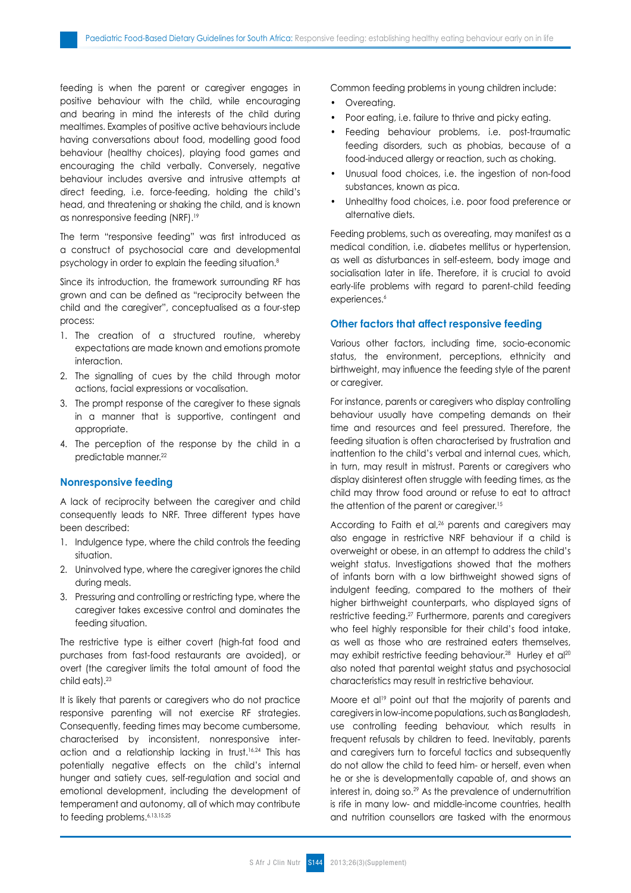feeding is when the parent or caregiver engages in positive behaviour with the child, while encouraging and bearing in mind the interests of the child during mealtimes. Examples of positive active behaviours include having conversations about food, modelling good food behaviour (healthy choices), playing food games and encouraging the child verbally. Conversely, negative behaviour includes aversive and intrusive attempts at direct feeding, i.e. force-feeding, holding the child's head, and threatening or shaking the child, and is known as nonresponsive feeding (NRF).19

The term "responsive feeding" was first introduced as a construct of psychosocial care and developmental psychology in order to explain the feeding situation.8

Since its introduction, the framework surrounding RF has grown and can be defined as "reciprocity between the child and the caregiver", conceptualised as a four-step process:

- 1. The creation of a structured routine, whereby expectations are made known and emotions promote interaction.
- 2. The signalling of cues by the child through motor actions, facial expressions or vocalisation.
- 3. The prompt response of the caregiver to these signals in a manner that is supportive, contingent and appropriate.
- 4. The perception of the response by the child in a predictable manner.<sup>22</sup>

# **Nonresponsive feeding**

A lack of reciprocity between the caregiver and child consequently leads to NRF. Three different types have been described:

- 1. Indulgence type, where the child controls the feeding situation.
- 2. Uninvolved type, where the caregiver ignores the child during meals.
- 3. Pressuring and controlling or restricting type, where the caregiver takes excessive control and dominates the feeding situation.

The restrictive type is either covert (high-fat food and purchases from fast-food restaurants are avoided), or overt (the caregiver limits the total amount of food the child eats).23

It is likely that parents or caregivers who do not practice responsive parenting will not exercise RF strategies. Consequently, feeding times may become cumbersome, characterised by inconsistent, nonresponsive interaction and a relationship lacking in trust.<sup>16,24</sup> This has potentially negative effects on the child's internal hunger and satiety cues, self-regulation and social and emotional development, including the development of temperament and autonomy, all of which may contribute to feeding problems.<sup>6,13,15,25</sup>

Common feeding problems in young children include:

- Overeating.
- Poor eating, i.e. failure to thrive and picky eating.
- Feeding behaviour problems, i.e. post-traumatic feeding disorders, such as phobias, because of a food-induced allergy or reaction, such as choking.
- Unusual food choices, i.e. the ingestion of non-food substances, known as pica.
- Unhealthy food choices, i.e. poor food preference or alternative diets.

Feeding problems, such as overeating, may manifest as a medical condition, i.e. diabetes mellitus or hypertension, as well as disturbances in self-esteem, body image and socialisation later in life. Therefore, it is crucial to avoid early-life problems with regard to parent-child feeding experiences.<sup>6</sup>

#### **Other factors that affect responsive feeding**

Various other factors, including time, socio-economic status, the environment, perceptions, ethnicity and birthweight, may influence the feeding style of the parent or caregiver.

For instance, parents or caregivers who display controlling behaviour usually have competing demands on their time and resources and feel pressured. Therefore, the feeding situation is often characterised by frustration and inattention to the child's verbal and internal cues, which, in turn, may result in mistrust. Parents or caregivers who display disinterest often struggle with feeding times, as the child may throw food around or refuse to eat to attract the attention of the parent or caregiver.<sup>15</sup>

According to Faith et al,<sup>26</sup> parents and caregivers may also engage in restrictive NRF behaviour if a child is overweight or obese, in an attempt to address the child's weight status. Investigations showed that the mothers of infants born with a low birthweight showed signs of indulgent feeding, compared to the mothers of their higher birthweight counterparts, who displayed signs of restrictive feeding.27 Furthermore, parents and caregivers who feel highly responsible for their child's food intake, as well as those who are restrained eaters themselves, may exhibit restrictive feeding behaviour.<sup>28</sup> Hurley et al<sup>20</sup> also noted that parental weight status and psychosocial characteristics may result in restrictive behaviour.

Moore et al<sup>19</sup> point out that the majority of parents and caregivers in low-income populations, such as Bangladesh, use controlling feeding behaviour, which results in frequent refusals by children to feed. Inevitably, parents and caregivers turn to forceful tactics and subsequently do not allow the child to feed him- or herself, even when he or she is developmentally capable of, and shows an interest in, doing so.<sup>29</sup> As the prevalence of undernutrition is rife in many low- and middle-income countries, health and nutrition counsellors are tasked with the enormous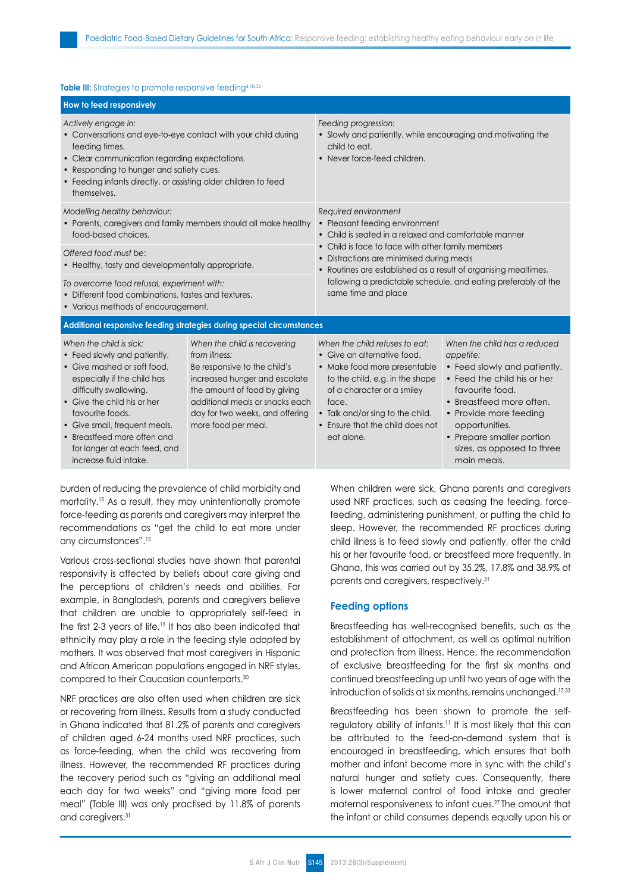#### Table III: Strategies to promote responsive feeding<sup>4,18,32</sup>

| How to feed responsively                                                                                                                                                                                                                                                                                                     |                                                                                                                                                                                                                                             |                                                                                                                                                                                                                                                                                                                                                                               |                                                                                                                                                                                                                                                                               |  |  |  |  |  |
|------------------------------------------------------------------------------------------------------------------------------------------------------------------------------------------------------------------------------------------------------------------------------------------------------------------------------|---------------------------------------------------------------------------------------------------------------------------------------------------------------------------------------------------------------------------------------------|-------------------------------------------------------------------------------------------------------------------------------------------------------------------------------------------------------------------------------------------------------------------------------------------------------------------------------------------------------------------------------|-------------------------------------------------------------------------------------------------------------------------------------------------------------------------------------------------------------------------------------------------------------------------------|--|--|--|--|--|
| Actively engage in:<br>• Conversations and eye-to-eye contact with your child during<br>feeding times.<br>• Clear communication regarding expectations.<br>• Responding to hunger and satiety cues.<br>• Feeding infants directly, or assisting older children to feed<br>themselves.                                        |                                                                                                                                                                                                                                             | Feeding progression:<br>• Slowly and patiently, while encouraging and motivating the<br>child to eat.<br>• Never force-feed children.                                                                                                                                                                                                                                         |                                                                                                                                                                                                                                                                               |  |  |  |  |  |
| Modelling healthy behaviour:<br>food-based choices.<br>Offered food must be:<br>• Healthy, tasty and developmentally appropriate.<br>To overcome food refusal, experiment with:<br>• Different food combinations, tastes and textures.<br>• Various methods of encouragement.                                                | • Parents, caregivers and family members should all make healthy                                                                                                                                                                            | Required environment<br>• Pleasant feeding environment<br>• Child is seated in a relaxed and comfortable manner<br>• Child is face to face with other family members<br>• Distractions are minimised during meals<br>• Routines are established as a result of organising mealtimes,<br>following a predictable schedule, and eating preferably at the<br>same time and place |                                                                                                                                                                                                                                                                               |  |  |  |  |  |
| Additional responsive feeding strategies during special circumstances                                                                                                                                                                                                                                                        |                                                                                                                                                                                                                                             |                                                                                                                                                                                                                                                                                                                                                                               |                                                                                                                                                                                                                                                                               |  |  |  |  |  |
| When the child is sick:<br>• Feed slowly and patiently.<br>• Give mashed or soft food.<br>especially if the child has<br>difficulty swallowing.<br>• Give the child his or her<br>favourite foods.<br>• Give small, frequent meals.<br>• Breastfeed more often and<br>for longer at each feed, and<br>increase fluid intake. | When the child is recovering<br>from illness:<br>Be responsive to the child's<br>increased hunger and escalate<br>the amount of food by giving<br>additional meals or snacks each<br>day for two weeks, and offering<br>more food per meal. | When the child refuses to eat:<br>• Give an alternative food.<br>• Make food more presentable<br>to the child, e.g. in the shape<br>of a character or a smiley<br>face.<br>• Talk and/or sing to the child.<br>• Ensure that the child does not<br>eat alone.                                                                                                                 | When the child has a reduced<br>appetite:<br>• Feed slowly and patiently.<br>• Feed the child his or her<br>favourite food.<br>• Breastfeed more often.<br>• Provide more feeding<br>opportunities.<br>• Prepare smaller portion<br>sizes, as opposed to three<br>main meals. |  |  |  |  |  |

burden of reducing the prevalence of child morbidity and mortality.15 As a result, they may unintentionally promote force-feeding as parents and caregivers may interpret the recommendations as "get the child to eat more under any circumstances".15

Various cross-sectional studies have shown that parental responsivity is affected by beliefs about care giving and the perceptions of children's needs and abilities. For example, in Bangladesh, parents and caregivers believe that children are unable to appropriately self-feed in the first 2-3 years of life.15 It has also been indicated that ethnicity may play a role in the feeding style adopted by mothers. It was observed that most caregivers in Hispanic and African American populations engaged in NRF styles, compared to their Caucasian counterparts.30

NRF practices are also often used when children are sick or recovering from illness. Results from a study conducted in Ghana indicated that 81.2% of parents and caregivers of children aged 6-24 months used NRF practices, such as force-feeding, when the child was recovering from illness. However, the recommended RF practices during the recovery period such as "giving an additional meal each day for two weeks" and "giving more food per meal" (Table III) was only practised by 11.8% of parents and caregivers.31

When children were sick, Ghana parents and caregivers used NRF practices, such as ceasing the feeding, forcefeeding, administering punishment, or putting the child to sleep. However, the recommended RF practices during child illness is to feed slowly and patiently, offer the child his or her favourite food, or breastfeed more frequently. In Ghana, this was carried out by 35.2%, 17.8% and 38.9% of parents and caregivers, respectively.31

#### **Feeding options**

Breastfeeding has well-recognised benefits, such as the establishment of attachment, as well as optimal nutrition and protection from illness. Hence, the recommendation of exclusive breastfeeding for the first six months and continued breastfeeding up until two years of age with the introduction of solids at six months, remains unchanged.<sup>17,33</sup>

Breastfeeding has been shown to promote the selfregulatory ability of infants.11 It is most likely that this can be attributed to the feed-on-demand system that is encouraged in breastfeeding, which ensures that both mother and infant become more in sync with the child's natural hunger and satiety cues. Consequently, there is lower maternal control of food intake and greater maternal responsiveness to infant cues.27 The amount that the infant or child consumes depends equally upon his or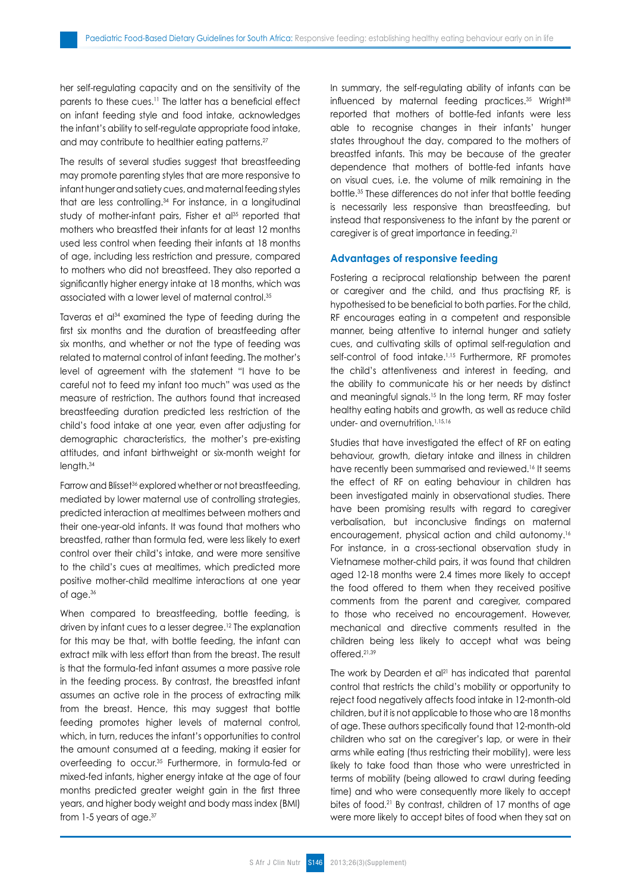her self-regulating capacity and on the sensitivity of the parents to these cues.11 The latter has a beneficial effect on infant feeding style and food intake, acknowledges the infant's ability to self-regulate appropriate food intake, and may contribute to healthier eating patterns.<sup>27</sup>

The results of several studies suggest that breastfeeding may promote parenting styles that are more responsive to infant hunger and satiety cues, and maternal feeding styles that are less controlling.<sup>34</sup> For instance, in a longitudinal study of mother-infant pairs, Fisher et al<sup>35</sup> reported that mothers who breastfed their infants for at least 12 months used less control when feeding their infants at 18 months of age, including less restriction and pressure, compared to mothers who did not breastfeed. They also reported a significantly higher energy intake at 18 months, which was associated with a lower level of maternal control.35

Taveras et al<sup>34</sup> examined the type of feeding during the first six months and the duration of breastfeeding after six months, and whether or not the type of feeding was related to maternal control of infant feeding. The mother's level of agreement with the statement "I have to be careful not to feed my infant too much" was used as the measure of restriction. The authors found that increased breastfeeding duration predicted less restriction of the child's food intake at one year, even after adjusting for demographic characteristics, the mother's pre-existing attitudes, and infant birthweight or six-month weight for length.34

Farrow and Blisset<sup>36</sup> explored whether or not breastfeeding, mediated by lower maternal use of controlling strategies, predicted interaction at mealtimes between mothers and their one-year-old infants. It was found that mothers who breastfed, rather than formula fed, were less likely to exert control over their child's intake, and were more sensitive to the child's cues at mealtimes, which predicted more positive mother-child mealtime interactions at one year of age.36

When compared to breastfeeding, bottle feeding, is driven by infant cues to a lesser degree.<sup>12</sup> The explanation for this may be that, with bottle feeding, the infant can extract milk with less effort than from the breast. The result is that the formula-fed infant assumes a more passive role in the feeding process. By contrast, the breastfed infant assumes an active role in the process of extracting milk from the breast. Hence, this may suggest that bottle feeding promotes higher levels of maternal control, which, in turn, reduces the infant's opportunities to control the amount consumed at a feeding, making it easier for overfeeding to occur.35 Furthermore, in formula-fed or mixed-fed infants, higher energy intake at the age of four months predicted greater weight gain in the first three years, and higher body weight and body mass index (BMI) from 1-5 years of age.37

In summary, the self-regulating ability of infants can be influenced by maternal feeding practices.<sup>35</sup> Wright<sup>38</sup> reported that mothers of bottle-fed infants were less able to recognise changes in their infants' hunger states throughout the day, compared to the mothers of breastfed infants. This may be because of the greater dependence that mothers of bottle-fed infants have on visual cues, i.e. the volume of milk remaining in the bottle.35 These differences do not infer that bottle feeding is necessarily less responsive than breastfeeding, but instead that responsiveness to the infant by the parent or caregiver is of great importance in feeding.21

#### **Advantages of responsive feeding**

Fostering a reciprocal relationship between the parent or caregiver and the child, and thus practising RF, is hypothesised to be beneficial to both parties. For the child, RF encourages eating in a competent and responsible manner, being attentive to internal hunger and satiety cues, and cultivating skills of optimal self-regulation and self-control of food intake.<sup>1,15</sup> Furthermore, RF promotes the child's attentiveness and interest in feeding, and the ability to communicate his or her needs by distinct and meaningful signals.<sup>15</sup> In the long term, RF may foster healthy eating habits and growth, as well as reduce child under- and overnutrition.1,15,16

Studies that have investigated the effect of RF on eating behaviour, growth, dietary intake and illness in children have recently been summarised and reviewed.<sup>16</sup> It seems the effect of RF on eating behaviour in children has been investigated mainly in observational studies. There have been promising results with regard to caregiver verbalisation, but inconclusive findings on maternal encouragement, physical action and child autonomy.16 For instance, in a cross-sectional observation study in Vietnamese mother-child pairs, it was found that children aged 12-18 months were 2.4 times more likely to accept the food offered to them when they received positive comments from the parent and caregiver, compared to those who received no encouragement. However, mechanical and directive comments resulted in the children being less likely to accept what was being offered.21,39

The work by Dearden et al<sup>21</sup> has indicated that parental control that restricts the child's mobility or opportunity to reject food negatively affects food intake in 12-month-old children, but it is not applicable to those who are 18 months of age. These authors specifically found that 12-month-old children who sat on the caregiver's lap, or were in their arms while eating (thus restricting their mobility), were less likely to take food than those who were unrestricted in terms of mobility (being allowed to crawl during feeding time) and who were consequently more likely to accept bites of food.<sup>21</sup> By contrast, children of 17 months of age were more likely to accept bites of food when they sat on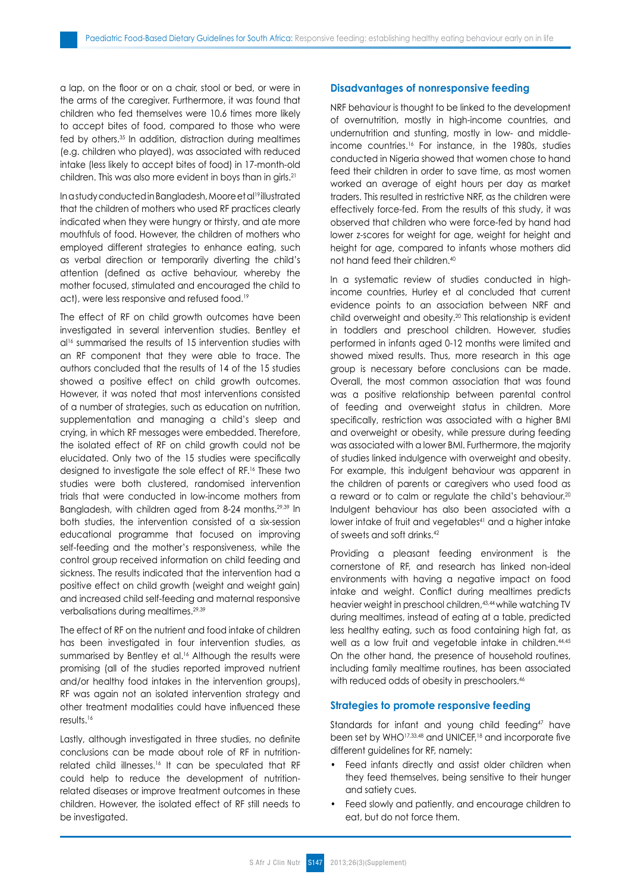a lap, on the floor or on a chair, stool or bed, or were in the arms of the caregiver. Furthermore, it was found that children who fed themselves were 10.6 times more likely to accept bites of food, compared to those who were fed by others.35 In addition, distraction during mealtimes (e.g. children who played), was associated with reduced intake (less likely to accept bites of food) in 17-month-old children. This was also more evident in boys than in girls.<sup>21</sup>

In a study conducted in Bangladesh, Moore et al19 illustrated that the children of mothers who used RF practices clearly indicated when they were hungry or thirsty, and ate more mouthfuls of food. However, the children of mothers who employed different strategies to enhance eating, such as verbal direction or temporarily diverting the child's attention (defined as active behaviour, whereby the mother focused, stimulated and encouraged the child to act), were less responsive and refused food.<sup>19</sup>

The effect of RF on child growth outcomes have been investigated in several intervention studies. Bentley et al<sup>16</sup> summarised the results of 15 intervention studies with an RF component that they were able to trace. The authors concluded that the results of 14 of the 15 studies showed a positive effect on child growth outcomes. However, it was noted that most interventions consisted of a number of strategies, such as education on nutrition, supplementation and managing a child's sleep and crying, in which RF messages were embedded. Therefore, the isolated effect of RF on child growth could not be elucidated. Only two of the 15 studies were specifically designed to investigate the sole effect of RF.16 These two studies were both clustered, randomised intervention trials that were conducted in low-income mothers from Bangladesh, with children aged from 8-24 months.29,39 In both studies, the intervention consisted of a six-session educational programme that focused on improving self-feeding and the mother's responsiveness, while the control group received information on child feeding and sickness. The results indicated that the intervention had a positive effect on child growth (weight and weight gain) and increased child self-feeding and maternal responsive verbalisations during mealtimes.29,39

The effect of RF on the nutrient and food intake of children has been investigated in four intervention studies, as summarised by Bentley et al.<sup>16</sup> Although the results were promising (all of the studies reported improved nutrient and/or healthy food intakes in the intervention groups), RF was again not an isolated intervention strategy and other treatment modalities could have influenced these results.16

Lastly, although investigated in three studies, no definite conclusions can be made about role of RF in nutritionrelated child illnesses.16 It can be speculated that RF could help to reduce the development of nutritionrelated diseases or improve treatment outcomes in these children. However, the isolated effect of RF still needs to be investigated.

# **Disadvantages of nonresponsive feeding**

NRF behaviour is thought to be linked to the development of overnutrition, mostly in high-income countries, and undernutrition and stunting, mostly in low- and middleincome countries.16 For instance, in the 1980s, studies conducted in Nigeria showed that women chose to hand feed their children in order to save time, as most women worked an average of eight hours per day as market traders. This resulted in restrictive NRF, as the children were effectively force-fed. From the results of this study, it was observed that children who were force-fed by hand had lower z-scores for weight for age, weight for height and height for age, compared to infants whose mothers did not hand feed their children.40

In a systematic review of studies conducted in highincome countries, Hurley et al concluded that current evidence points to an association between NRF and child overweight and obesity.20 This relationship is evident in toddlers and preschool children. However, studies performed in infants aged 0-12 months were limited and showed mixed results. Thus, more research in this age group is necessary before conclusions can be made. Overall, the most common association that was found was a positive relationship between parental control of feeding and overweight status in children. More specifically, restriction was associated with a higher BMI and overweight or obesity, while pressure during feeding was associated with a lower BMI. Furthermore, the majority of studies linked indulgence with overweight and obesity. For example, this indulgent behaviour was apparent in the children of parents or caregivers who used food as a reward or to calm or regulate the child's behaviour.20 Indulgent behaviour has also been associated with a lower intake of fruit and vegetables<sup>41</sup> and a higher intake of sweets and soft drinks.42

Providing a pleasant feeding environment is the cornerstone of RF, and research has linked non-ideal environments with having a negative impact on food intake and weight. Conflict during mealtimes predicts heavier weight in preschool children, 43,44 while watching TV during mealtimes, instead of eating at a table, predicted less healthy eating, such as food containing high fat, as well as a low fruit and vegetable intake in children.<sup>44,45</sup> On the other hand, the presence of household routines, including family mealtime routines, has been associated with reduced odds of obesity in preschoolers.<sup>46</sup>

# **Strategies to promote responsive feeding**

Standards for infant and young child feeding<sup>47</sup> have been set by WHO<sup>17,33,48</sup> and UNICEF,<sup>18</sup> and incorporate five different guidelines for RF, namely:

- Feed infants directly and assist older children when they feed themselves, being sensitive to their hunger and satiety cues.
- Feed slowly and patiently, and encourage children to eat, but do not force them.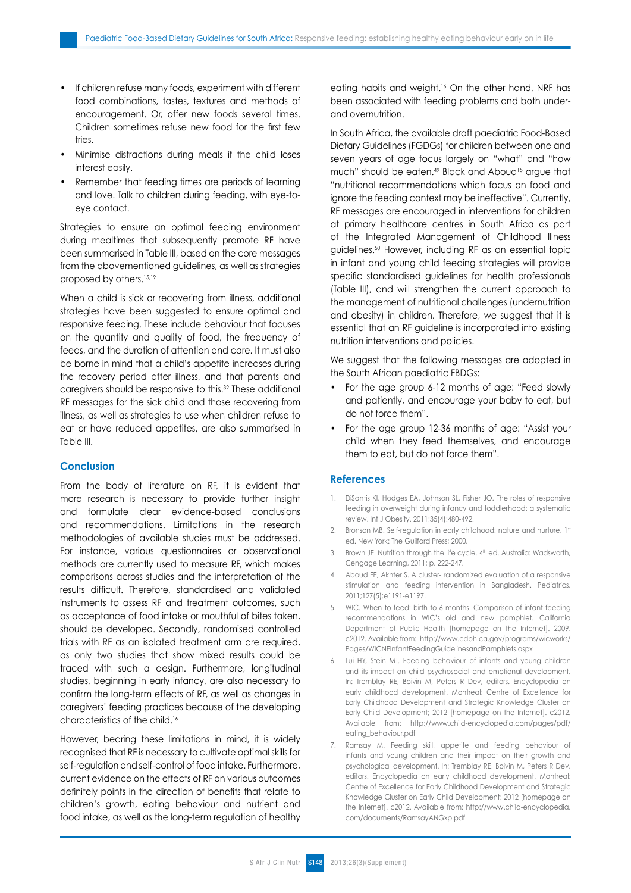- If children refuse many foods, experiment with different food combinations, tastes, textures and methods of encouragement. Or, offer new foods several times. Children sometimes refuse new food for the first few tries.
- Minimise distractions during meals if the child loses interest easily.
- Remember that feeding times are periods of learning and love. Talk to children during feeding, with eye-toeye contact.

Strategies to ensure an optimal feeding environment during mealtimes that subsequently promote RF have been summarised in Table III, based on the core messages from the abovementioned guidelines, as well as strategies proposed by others.15,19

When a child is sick or recovering from illness, additional strategies have been suggested to ensure optimal and responsive feeding. These include behaviour that focuses on the quantity and quality of food, the frequency of feeds, and the duration of attention and care. It must also be borne in mind that a child's appetite increases during the recovery period after illness, and that parents and caregivers should be responsive to this.32 These additional RF messages for the sick child and those recovering from illness, as well as strategies to use when children refuse to eat or have reduced appetites, are also summarised in Table III.

#### **Conclusion**

From the body of literature on RF, it is evident that more research is necessary to provide further insight and formulate clear evidence-based conclusions and recommendations. Limitations in the research methodologies of available studies must be addressed. For instance, various questionnaires or observational methods are currently used to measure RF, which makes comparisons across studies and the interpretation of the results difficult. Therefore, standardised and validated instruments to assess RF and treatment outcomes, such as acceptance of food intake or mouthful of bites taken, should be developed. Secondly, randomised controlled trials with RF as an isolated treatment arm are required, as only two studies that show mixed results could be traced with such a design. Furthermore, longitudinal studies, beginning in early infancy, are also necessary to confirm the long-term effects of RF, as well as changes in caregivers' feeding practices because of the developing characteristics of the child.16

However, bearing these limitations in mind, it is widely recognised that RF is necessary to cultivate optimal skills for self-regulation and self-control of food intake. Furthermore, current evidence on the effects of RF on various outcomes definitely points in the direction of benefits that relate to children's growth, eating behaviour and nutrient and food intake, as well as the long-term regulation of healthy eating habits and weight.16 On the other hand, NRF has been associated with feeding problems and both underand overnutrition.

In South Africa, the available draft paediatric Food-Based Dietary Guidelines (FGDGs) for children between one and seven years of age focus largely on "what" and "how much" should be eaten.<sup>49</sup> Black and Aboud<sup>15</sup> argue that "nutritional recommendations which focus on food and ignore the feeding context may be ineffective". Currently, RF messages are encouraged in interventions for children at primary healthcare centres in South Africa as part of the Integrated Management of Childhood Illness guidelines.50 However, including RF as an essential topic in infant and young child feeding strategies will provide specific standardised guidelines for health professionals (Table III), and will strengthen the current approach to the management of nutritional challenges (undernutrition and obesity) in children. Therefore, we suggest that it is essential that an RF guideline is incorporated into existing nutrition interventions and policies.

We suggest that the following messages are adopted in the South African paediatric FBDGs:

- For the age group 6-12 months of age: "Feed slowly and patiently, and encourage your baby to eat, but do not force them".
- For the age group 12-36 months of age: "Assist your child when they feed themselves, and encourage them to eat, but do not force them".

#### **References**

- 1. DiSantis KI, Hodges EA, Johnson SL, Fisher JO. The roles of responsive feeding in overweight during infancy and toddlerhood: a systematic review. Int J Obesity. 2011;35(4):480-492.
- 2. Bronson MB. Self-regulation in early childhood: nature and nurture. 1st ed. New York: The Guilford Press; 2000.
- 3. Brown JE. Nutrition through the life cycle. 4th ed. Australia: Wadsworth, Cengage Learning, 2011; p. 222-247.
- 4. Aboud FE, Akhter S. A cluster- randomized evaluation of a responsive stimulation and feeding intervention in Bangladesh. Pediatrics. 2011;127(5):e1191-e1197.
- 5. WIC. When to feed: birth to 6 months. Comparison of infant feeding recommendations in WIC's old and new pamphlet. California Department of Public Health [homepage on the Internet]. 2009. c2012. Available from: http://www.cdph.ca.gov/programs/wicworks/ Pages/WICNEInfantFeedingGuidelinesandPamphlets.aspx
- 6. Lui HY, Stein MT. Feeding behaviour of infants and young children and its impact on child psychosocial and emotional development. In: Tremblay RE, Boivin M, Peters R Dev, editors. Encyclopedia on early childhood development. Montreal: Centre of Excellence for Early Childhood Development and Strategic Knowledge Cluster on Early Child Development; 2012 [homepage on the Internet]. c2012. Available from: http://www.child-encyclopedia.com/pages/pdf/ eating\_behaviour.pdf
- 7. Ramsay M. Feeding skill, appetite and feeding behaviour of infants and young children and their impact on their growth and psychological development. In: Tremblay RE, Boivin M, Peters R Dev, editors. Encyclopedia on early childhood development. Montreal: Centre of Excellence for Early Childhood Development and Strategic Knowledge Cluster on Early Child Development; 2012 [homepage on the Internet]. c2012. Available from: http://www.child-encyclopedia. com/documents/RamsayANGxp.pdf